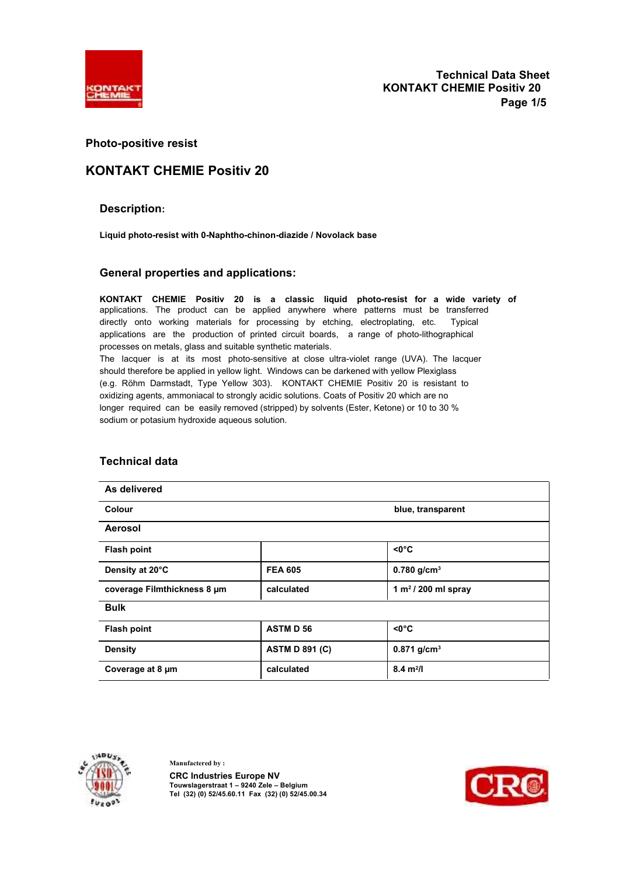

### **Photo-positive resist**

## **KONTAKT CHEMIE Positiv 20**

### **Description:**

**Liquid photo-resist with 0-Naphtho-chinon-diazide / Novolack base** 

### **General properties and applications:**

**KONTAKT CHEMIE Positiv 20 is a classic liquid photo-resist for a wide variety of**  applications. The product can be applied anywhere where patterns must be transferred directly onto working materials for processing by etching, electroplating, etc. Typical applications are the production of printed circuit boards, a range of photo-lithographical processes on metals, glass and suitable synthetic materials. The lacquer is at its most photo-sensitive at close ultra-violet range (UVA). The lacquer should therefore be applied in yellow light. Windows can be darkened with yellow Plexiglass (e.g. Röhm Darmstadt, Type Yellow 303). KONTAKT CHEMIE Positiv 20 is resistant to oxidizing agents, ammoniacal to strongly acidic solutions. Coats of Positiv 20 which are no longer required can be easily removed (stripped) by solvents (Ester, Ketone) or 10 to 30 % sodium or potasium hydroxide aqueous solution.

| As delivered                |                       |                           |
|-----------------------------|-----------------------|---------------------------|
| Colour                      |                       | blue, transparent         |
| Aerosol                     |                       |                           |
| <b>Flash point</b>          |                       | $< 0^{\circ}C$            |
| Density at 20°C             | <b>FEA 605</b>        | 0.780 $g/cm^{3}$          |
| coverage Filmthickness 8 um | calculated            | 1 $m^2$ / 200 ml spray    |
| <b>Bulk</b>                 |                       |                           |
| <b>Flash point</b>          | <b>ASTMD56</b>        | $< 0^{\circ}C$            |
| <b>Density</b>              | <b>ASTM D 891 (C)</b> | $0.871$ g/cm <sup>3</sup> |
| Coverage at 8 µm            | calculated            | $8.4 \text{ m}^2$ /I      |

### **Technical data**



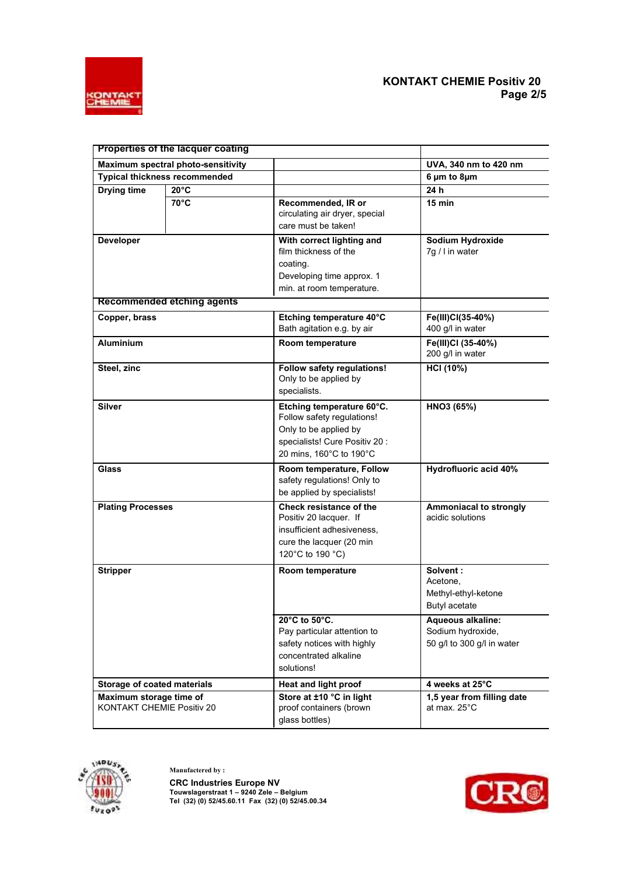

|                                                                            | Properties of the lacquer coating |                                                                                                                                               |                                                                             |
|----------------------------------------------------------------------------|-----------------------------------|-----------------------------------------------------------------------------------------------------------------------------------------------|-----------------------------------------------------------------------------|
|                                                                            |                                   |                                                                                                                                               |                                                                             |
| Maximum spectral photo-sensitivity<br><b>Typical thickness recommended</b> |                                   |                                                                                                                                               | UVA, 340 nm to 420 nm<br>$6 \mu m$ to $8 \mu m$                             |
|                                                                            | $20^{\circ}$ C                    |                                                                                                                                               | 24 h                                                                        |
| Drying time                                                                | $70^{\circ}$ C                    | Recommended, IR or<br>circulating air dryer, special<br>care must be taken!                                                                   | $15$ min                                                                    |
| <b>Developer</b>                                                           |                                   | With correct lighting and<br>film thickness of the<br>coating.<br>Developing time approx. 1<br>min. at room temperature.                      | Sodium Hydroxide<br>7g / I in water                                         |
|                                                                            | <b>Recommended etching agents</b> |                                                                                                                                               |                                                                             |
| Copper, brass                                                              |                                   | Etching temperature 40°C<br>Bath agitation e.g. by air                                                                                        | Fe(III)CI(35-40%)<br>400 g/l in water                                       |
| <b>Aluminium</b>                                                           |                                   | Room temperature                                                                                                                              | Fe(III)CI (35-40%)<br>200 g/l in water                                      |
| Steel, zinc                                                                |                                   | <b>Follow safety regulations!</b><br>Only to be applied by<br>specialists.                                                                    | <b>HCI (10%)</b>                                                            |
| Silver                                                                     |                                   | Etching temperature 60°C.<br>Follow safety regulations!<br>Only to be applied by<br>specialists! Cure Positiv 20 :<br>20 mins, 160°C to 190°C | HNO3 (65%)                                                                  |
| <b>Glass</b>                                                               |                                   | Room temperature, Follow<br>safety regulations! Only to<br>be applied by specialists!                                                         | Hydrofluoric acid 40%                                                       |
| <b>Plating Processes</b>                                                   |                                   | Check resistance of the<br>Positiv 20 lacquer. If<br>insufficient adhesiveness.<br>cure the lacquer (20 min<br>120°C to 190 °C)               | <b>Ammoniacal to strongly</b><br>acidic solutions                           |
| <b>Stripper</b>                                                            |                                   | Room temperature                                                                                                                              | Solvent:<br>Acetone,<br>Methyl-ethyl-ketone<br>Butyl acetate                |
|                                                                            |                                   | 20°C to 50°C.<br>Pay particular attention to<br>safety notices with highly<br>concentrated alkaline<br>solutions!                             | <b>Aqueous alkaline:</b><br>Sodium hydroxide,<br>50 g/l to 300 g/l in water |
| Storage of coated materials                                                |                                   | Heat and light proof                                                                                                                          | 4 weeks at 25°C                                                             |
| Maximum storage time of<br>KONTAKT CHEMIE Positiv 20                       |                                   | Store at ±10 °C in light<br>proof containers (brown<br>glass bottles)                                                                         | 1,5 year from filling date<br>at max. 25°C                                  |



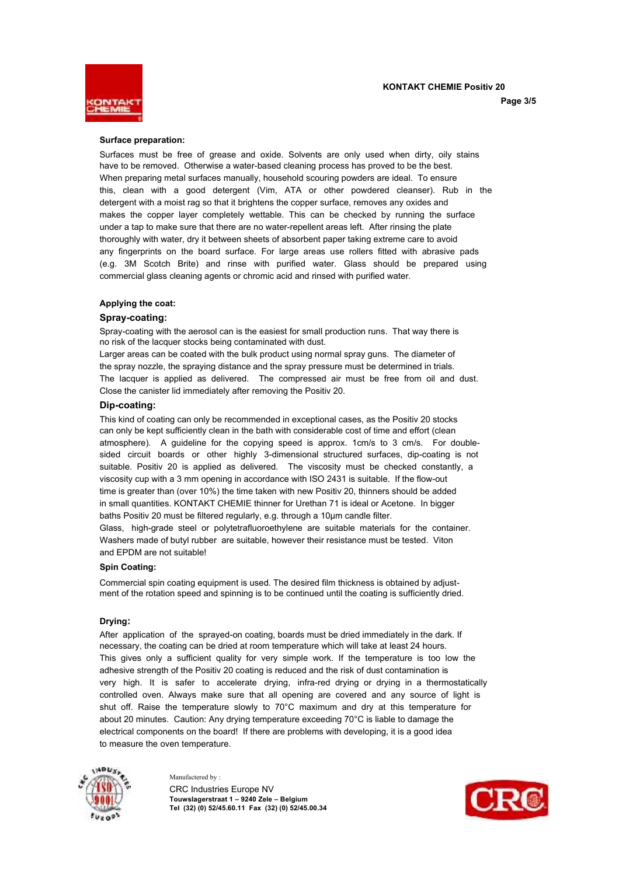**KONTAKT CHEMIE Positiv 20** 



#### **Page 3/5**

#### **Surface preparation:**

Surfaces must be free of grease and oxide. Solvents are only used when dirty, oily stains have to be removed. Otherwise a water-based cleaning process has proved to be the best. When preparing metal surfaces manually, household scouring powders are ideal. To ensure this, clean with a good detergent (Vim, ATA or other powdered cleanser). Rub in the detergent with a moist rag so that it brightens the copper surface, removes any oxides and makes the copper layer completely wettable. This can be checked by running the surface under a tap to make sure that there are no water-repellent areas left. After rinsing the plate thoroughly with water, dry it between sheets of absorbent paper taking extreme care to avoid any fingerprints on the board surface. For large areas use rollers fitted with abrasive pads (e.g. 3M Scotch Brite) and rinse with purified water. Glass should be prepared using commercial glass cleaning agents or chromic acid and rinsed with purified water.

#### **Applying the coat:**

#### **Spray-coating:**

Spray-coating with the aerosol can is the easiest for small production runs. That way there is no risk of the lacquer stocks being contaminated with dust.

Larger areas can be coated with the bulk product using normal spray guns. The diameter of the spray nozzle, the spraying distance and the spray pressure must be determined in trials. The lacquer is applied as delivered. The compressed air must be free from oil and dust. Close the canister lid immediately after removing the Positiv 20.

#### **Dip-coating:**

This kind of coating can only be recommended in exceptional cases, as the Positiv 20 stocks can only be kept sufficiently clean in the bath with considerable cost of time and effort (clean atmosphere). A guideline for the copying speed is approx. 1cm/s to 3 cm/s. For doublesided circuit boards or other highly 3-dimensional structured surfaces, dip-coating is not suitable. Positiv 20 is applied as delivered. The viscosity must be checked constantly, a viscosity cup with a 3 mm opening in accordance with ISO 2431 is suitable. If the flow-out time is greater than (over 10%) the time taken with new Positiv 20, thinners should be added in small quantities. KONTAKT CHEMIE thinner for Urethan 71 is ideal or Acetone. In bigger baths Positiv 20 must be filtered regularly, e.g. through a 10µm candle filter. Glass, high-grade steel or polytetrafluoroethylene are suitable materials for the container. Washers made of butyl rubber are suitable, however their resistance must be tested. Viton and EPDM are not suitable!

#### **Spin Coating:**

Commercial spin coating equipment is used. The desired film thickness is obtained by adjustment of the rotation speed and spinning is to be continued until the coating is sufficiently dried.

#### **Drying:**

After application of the sprayed-on coating, boards must be dried immediately in the dark. If necessary, the coating can be dried at room temperature which will take at least 24 hours. This gives only a sufficient quality for very simple work. If the temperature is too low the adhesive strength of the Positiv 20 coating is reduced and the risk of dust contamination is very high. It is safer to accelerate drying, infra-red drying or drying in a thermostatically controlled oven. Always make sure that all opening are covered and any source of light is shut off. Raise the temperature slowly to 70°C maximum and dry at this temperature for about 20 minutes. Caution: Any drying temperature exceeding 70°C is liable to damage the electrical components on the board! If there are problems with developing, it is a good idea to measure the oven temperature.



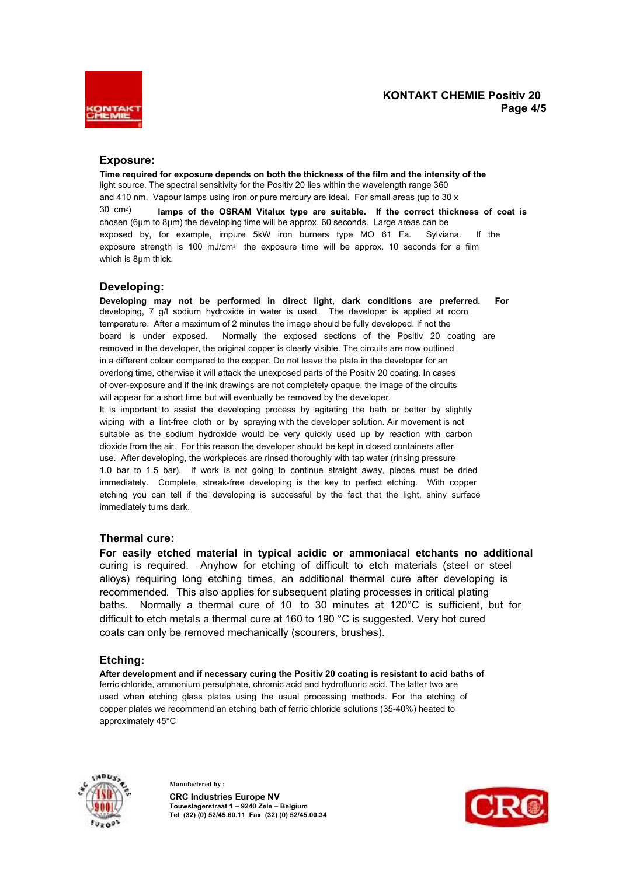

### **KONTAKT CHEMIE Positiv 20 Page 4/5**

### **Exposure:**

**Time required for exposure depends on both the thickness of the film and the intensity of the**  light source. The spectral sensitivity for the Positiv 20 lies within the wavelength range 360 and 410 nm. Vapour lamps using iron or pure mercury are ideal. For small areas (up to 30 x 30 cm2) **lamps of the OSRAM Vitalux type are suitable. If the correct thickness of coat is**  chosen (6µm to 8µm) the developing time will be approx. 60 seconds. Large areas can be exposed by, for example, impure 5kW iron burners type MO 61 Fa. Sylviana. If the exposure strength is 100 mJ/cm<sup>2</sup> the exposure time will be approx. 10 seconds for a film which is 8µm thick.

### **Developing:**

**Developing may not be performed in direct light, dark conditions are preferred. For**  developing, 7 g/l sodium hydroxide in water is used. The developer is applied at room temperature. After a maximum of 2 minutes the image should be fully developed. If not the board is under exposed. Normally the exposed sections of the Positiv 20 coating are removed in the developer, the original copper is clearly visible. The circuits are now outlined in a different colour compared to the copper. Do not leave the plate in the developer for an overlong time, otherwise it will attack the unexposed parts of the Positiv 20 coating. In cases of over-exposure and if the ink drawings are not completely opaque, the image of the circuits will appear for a short time but will eventually be removed by the developer. It is important to assist the developing process by agitating the bath or better by slightly wiping with a lint-free cloth or by spraying with the developer solution. Air movement is not suitable as the sodium hydroxide would be very quickly used up by reaction with carbon dioxide from the air. For this reason the developer should be kept in closed containers after use. After developing, the workpieces are rinsed thoroughly with tap water (rinsing pressure 1.0 bar to 1.5 bar). If work is not going to continue straight away, pieces must be dried immediately. Complete, streak-free developing is the key to perfect etching. With copper etching you can tell if the developing is successful by the fact that the light, shiny surface immediately turns dark.

### **Thermal cure:**

**For easily etched material in typical acidic or ammoniacal etchants no additional**  curing is required. Anyhow for etching of difficult to etch materials (steel or steel alloys) requiring long etching times, an additional thermal cure after developing is recommended**.** This also applies for subsequent plating processes in critical plating baths. Normally a thermal cure of 10 to 30 minutes at 120°C is sufficient, but for difficult to etch metals a thermal cure at 160 to 190 °C is suggested. Very hot cured coats can only be removed mechanically (scourers, brushes).

### **Etching:**

**After development and if necessary curing the Positiv 20 coating is resistant to acid baths of**  ferric chloride, ammonium persulphate, chromic acid and hydrofluoric acid. The latter two are used when etching glass plates using the usual processing methods. For the etching of copper plates we recommend an etching bath of ferric chloride solutions (35-40%) heated to approximately 45°C



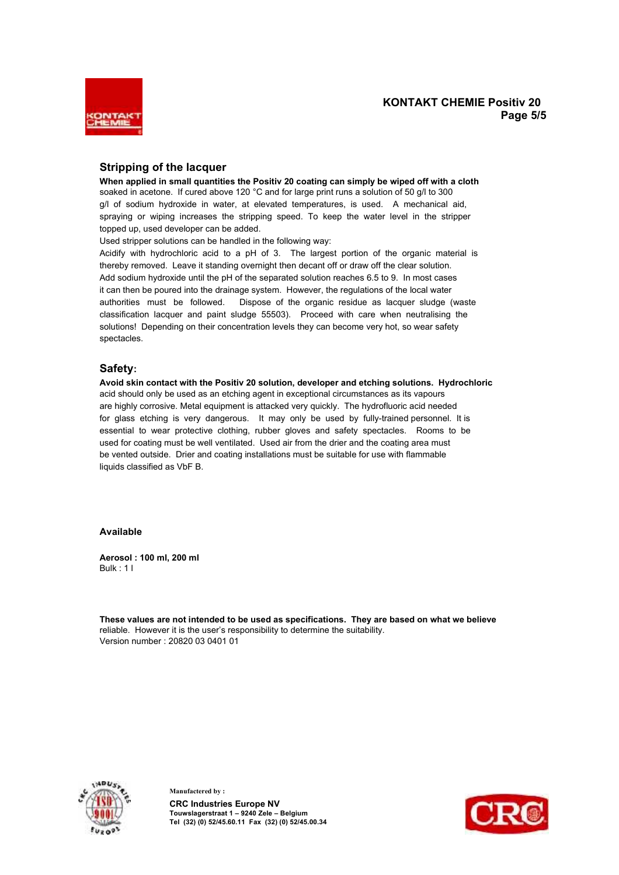

### **KONTAKT CHEMIE Positiv 20 Page 5/5**

### **Stripping of the lacquer**

**When applied in small quantities the Positiv 20 coating can simply be wiped off with a cloth**  soaked in acetone. If cured above 120 °C and for large print runs a solution of 50 g/l to 300 g/l of sodium hydroxide in water, at elevated temperatures, is used. A mechanical aid, spraying or wiping increases the stripping speed. To keep the water level in the stripper topped up, used developer can be added.

Used stripper solutions can be handled in the following way:

Acidify with hydrochloric acid to a pH of 3. The largest portion of the organic material is thereby removed. Leave it standing overnight then decant off or draw off the clear solution. Add sodium hydroxide until the pH of the separated solution reaches 6.5 to 9. In most cases it can then be poured into the drainage system. However, the regulations of the local water authorities must be followed. Dispose of the organic residue as lacquer sludge (waste classification lacquer and paint sludge 55503). Proceed with care when neutralising the solutions! Depending on their concentration levels they can become very hot, so wear safety spectacles.

### **Safety:**

**Avoid skin contact with the Positiv 20 solution, developer and etching solutions. Hydrochloric**  acid should only be used as an etching agent in exceptional circumstances as its vapours are highly corrosive. Metal equipment is attacked very quickly. The hydrofluoric acid needed for glass etching is very dangerous. It may only be used by fully-trained personnel. It is essential to wear protective clothing, rubber gloves and safety spectacles. Rooms to be used for coating must be well ventilated. Used air from the drier and the coating area must be vented outside. Drier and coating installations must be suitable for use with flammable liquids classified as VbF B.

#### **Available**

**Aerosol : 100 ml, 200 ml**  Bulk : 1 l

**These values are not intended to be used as specifications. They are based on what we believe**  reliable. However it is the user's responsibility to determine the suitability. Version number : 20820 03 0401 01



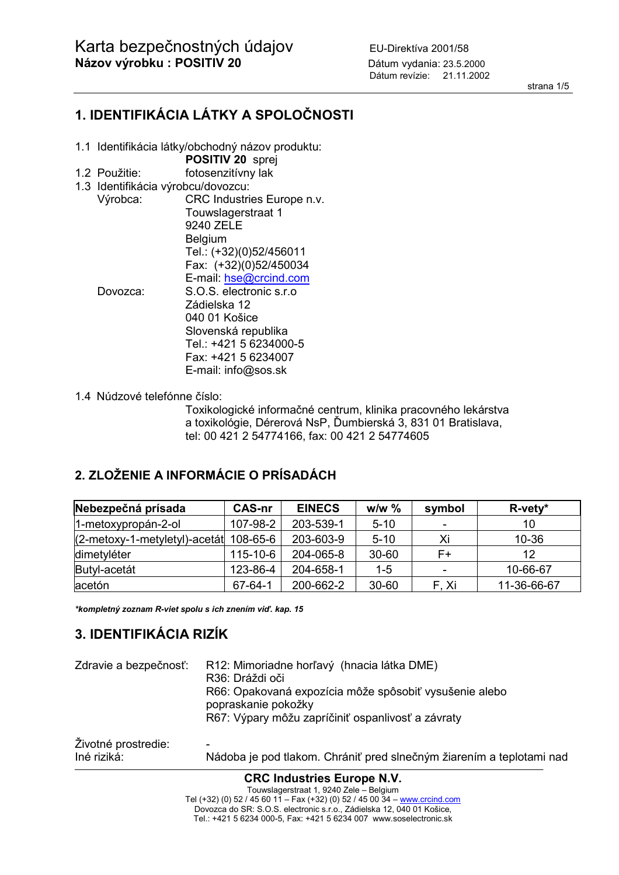strana 1/5

# **1. IDENTIFIKÁCIA LÁTKY A SPOLOČNOSTI**

- 1.1 Identifikácia látky/obchodný názov produktu:
	- **POSITIV 20** sprej
- 1.2 Použitie: fotosenzitívny lak
- 1.3 Identifikácia výrobcu/dovozcu:
- Výrobca: CRC Industries Europe n.v. Touwslagerstraat 1 9240 ZELE Belgium Tel.: (+32)(0)52/456011 Fax: (+32)(0)52/450034 E-mail: hse@crcind.com Dovozca: S.O.S. electronic s.r.o Zádielska 12 040 01 Košice Slovenská republika Tel.: +421 5 6234000-5 Fax: +421 5 6234007 E-mail: info@sos.sk
- 1.4 Núdzové telefónne číslo:

Toxikologické informačné centrum, klinika pracovného lekárstva a toxikológie, Dérerová NsP, Ďumbierská 3, 831 01 Bratislava, tel: 00 421 2 54774166, fax: 00 421 2 54774605

# **2. ZLOŽENIE A INFORMÁCIE O PRÍSADÁCH**

| Nebezpečná prísada              | <b>CAS-nr</b>  | <b>EINECS</b> | $w/w \%$  | symbol                   | $R$ -vety*  |
|---------------------------------|----------------|---------------|-----------|--------------------------|-------------|
| 1-metoxypropán-2-ol             | 107-98-2       | 203-539-1     | $5 - 10$  | $\overline{\phantom{a}}$ | 10          |
| $(2-metoxy-1-metyletyl)-acetát$ | 108-65-6       | 203-603-9     | $5 - 10$  | Xi                       | $10 - 36$   |
| dimetyléter                     | $115 - 10 - 6$ | 204-065-8     | $30 - 60$ | F+                       | 12          |
| Butyl-acetát                    | 123-86-4       | 204-658-1     | $1 - 5$   |                          | 10-66-67    |
| acetón                          | 67-64-1        | 200-662-2     | $30 - 60$ | F. Xi                    | 11-36-66-67 |

*\*kompletný zoznam R-viet spolu s ich znením viď. kap. 15* 

## **3. IDENTIFIKÁCIA RIZÍK**

| Zdravie a bezpečnosť: | R12: Mimoriadne horľavý (hnacia látka DME)<br>R36: Dráždi oči<br>R66: Opakovaná expozícia môže spôsobiť vysušenie alebo<br>popraskanie pokožky<br>R67: Výpary môžu zapríčiniť ospanlivosť a závraty |
|-----------------------|-----------------------------------------------------------------------------------------------------------------------------------------------------------------------------------------------------|
| Životné prostredie:   | ۰                                                                                                                                                                                                   |
| Iné riziká:           | Nádoba je pod tlakom. Chrániť pred slnečným žiarením a teplotami nad                                                                                                                                |

**CRC Industries Europe N.V.** 

Touwslagerstraat 1, 9240 Zele – Belgium Tel (+32) (0) 52 / 45 60 11 – Fax (+32) (0) 52 / 45 00 34 – <u>www.crcind.com</u> Dovozca do SR: S.O.S. electronic s.r.o., Zádielska 12, 040 01 Košice, Tel.: +421 5 6234 000-5, Fax: +421 5 6234 007 www.soselectronic.sk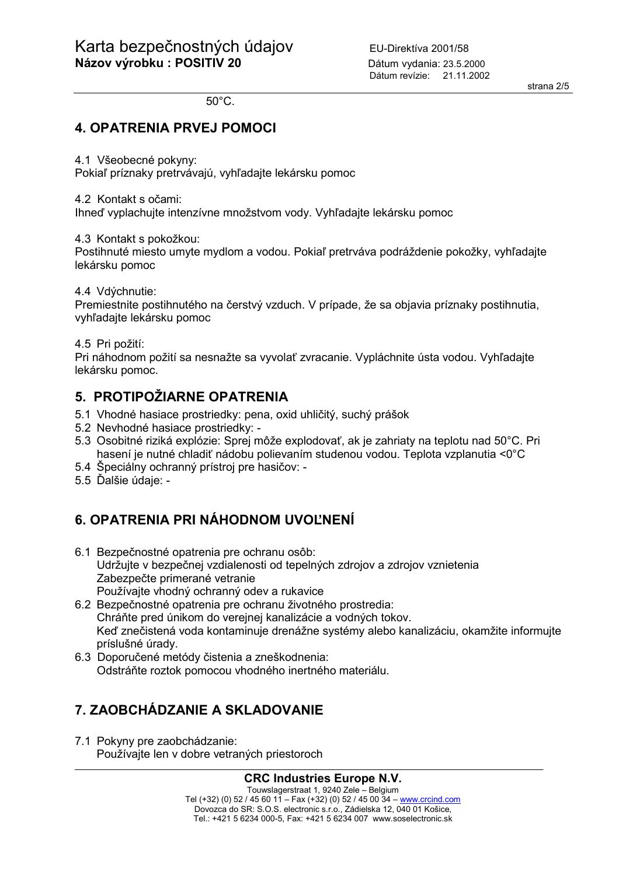50°C.

## **4. OPATRENIA PRVEJ POMOCI**

4.1 Všeobecné pokyny:

Pokiaľ príznaky pretrvávajú, vyhľadajte lekársku pomoc

4.2 Kontakt s očami:

Ihneď vyplachujte intenzívne množstvom vody. Vyhľadajte lekársku pomoc

4.3 Kontakt s pokožkou:

Postihnuté miesto umyte mydlom a vodou. Pokiaľ pretrváva podráždenie pokožky, vyhľadajte lekársku pomoc

4.4 Vdýchnutie:

Premiestnite postihnutého na čerstvý vzduch. V prípade, že sa objavia príznaky postihnutia, vyhľadajte lekársku pomoc

4.5 Pri požití:

Pri náhodnom požití sa nesnažte sa vyvolať zvracanie. Vypláchnite ústa vodou. Vyhľadajte lekársku pomoc.

## **5. PROTIPOŽIARNE OPATRENIA**

- 5.1 Vhodné hasiace prostriedky: pena, oxid uhličitý, suchý prášok
- 5.2 Nevhodné hasiace prostriedky: -
- 5.3 Osobitné riziká explózie: Sprej môže explodovať, ak je zahriaty na teplotu nad 50°C. Pri hasení je nutné chladiť nádobu polievaním studenou vodou. Teplota vzplanutia <0°C
- 5.4 Špeciálny ochranný prístroj pre hasičov: -
- 5.5 Ďalšie údaje: -

# **6. OPATRENIA PRI NÁHODNOM UVOĽNENÍ**

- 6.1 Bezpečnostné opatrenia pre ochranu osôb: Udržujte v bezpečnej vzdialenosti od tepelných zdrojov a zdrojov vznietenia Zabezpečte primerané vetranie Používajte vhodný ochranný odev a rukavice
- 6.2 Bezpečnostné opatrenia pre ochranu životného prostredia: Chráňte pred únikom do verejnej kanalizácie a vodných tokov. Keď znečistená voda kontaminuje drenážne systémy alebo kanalizáciu, okamžite informujte príslušné úrady.
- 6.3 Doporučené metódy čistenia a zneškodnenia: Odstráňte roztok pomocou vhodného inertného materiálu.

# **7. ZAOBCHÁDZANIE A SKLADOVANIE**

7.1 Pokyny pre zaobchádzanie: Používajte len v dobre vetraných priestoroch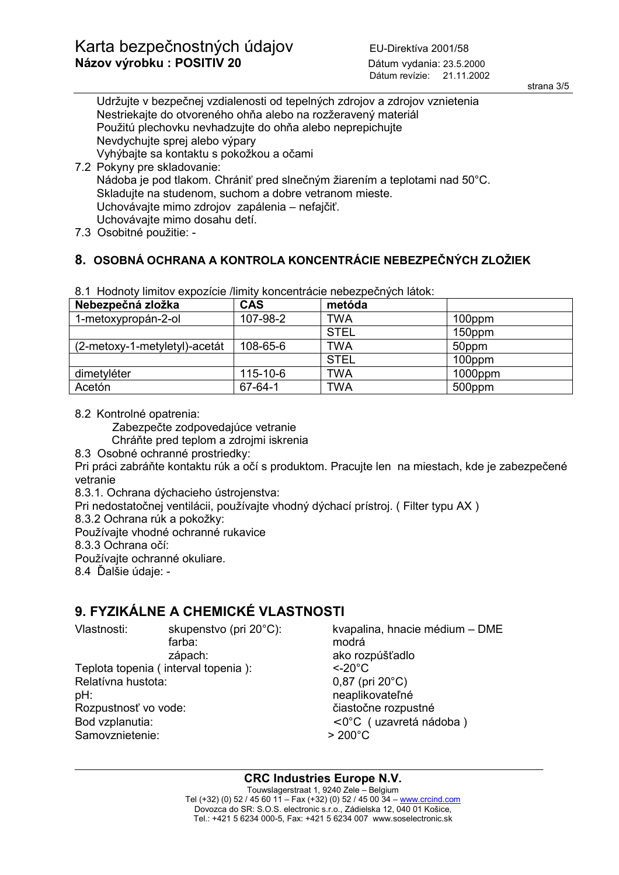strana 3/5

Udržujte v bezpečnej vzdialenosti od tepelných zdrojov a zdrojov vznietenia Nestriekajte do otvoreného ohňa alebo na rozžeravený materiál Použitú plechovku nevhadzujte do ohňa alebo neprepichujte Nevdychujte sprej alebo výpary Vyhýbajte sa kontaktu s pokožkou a očami 7.2 Pokyny pre skladovanie: Nádoba je pod tlakom. Chrániť pred slnečným žiarením a teplotami nad 50°C. Skladujte na studenom, suchom a dobre vetranom mieste.

Uchovávajte mimo zdrojov zapálenia – nefajčiť.

Uchovávajte mimo dosahu detí.

7.3 Osobitné použitie: -

## **8. OSOBNÁ OCHRANA A KONTROLA KONCENTRÁCIE NEBEZPEČNÝCH ZLOŽIEK**

| Nebezpečná zložka             | <b>CAS</b>     | metóda      |            |
|-------------------------------|----------------|-------------|------------|
| 1-metoxypropán-2-ol           | 107-98-2       | TWA         | 100ppm     |
|                               |                | <b>STEL</b> | 150ppm     |
| (2-metoxy-1-metyletyl)-acetát | 108-65-6       | TWA         | 50ppm      |
|                               |                | <b>STEL</b> | 100ppm     |
| dimetyléter                   | $115 - 10 - 6$ | TWA         | $1000$ ppm |
| Acetón                        | 67-64-1        | TWA         | 500ppm     |

8.1 Hodnoty limitov expozície /limity koncentrácie nebezpečných látok:

8.2 Kontrolné opatrenia:

Zabezpečte zodpovedajúce vetranie

Chráňte pred teplom a zdrojmi iskrenia

8.3 Osobné ochranné prostriedky:

Pri práci zabráňte kontaktu rúk a očí s produktom. Pracujte len na miestach, kde je zabezpečené vetranie

8.3.1. Ochrana dýchacieho ústrojenstva:

Pri nedostatočnej ventilácii, používajte vhodný dýchací prístroj. ( Filter typu AX )

8.3.2 Ochrana rúk a pokožky:

Používajte vhodné ochranné rukavice

8.3.3 Ochrana očí:

Používajte ochranné okuliare.

8.4 Ďalšie údaje: -

## **9. FYZIKÁLNE A CHEMICKÉ VLASTNOSTI**

 farba: modrá zápach: ako rozpúšťadlo Teplota topenia ( interval topenia ): <-20°C Relatívna hustota: 0,87 (pri 20°C) pH: neaplikovateľné Rozpustnosť vo vode: čiastočne rozpustné Bod vzplanutia:  $\langle 0^{\circ}$ C (uzavretá nádoba)

Samovznietenie:  $> 200^{\circ}$ C

Vlastnosti: skupenstvo (pri 20°C): kvapalina, hnacie médium – DME

**CRC Industries Europe N.V.**  Touwslagerstraat 1, 9240 Zele – Belgium Tel (+32) (0) 52 / 45 60 11 - Fax (+32) (0) 52 / 45 00 34 - www.crcind.com Dovozca do SR: S.O.S. electronic s.r.o., Zádielska 12, 040 01 Košice, Tel.: +421 5 6234 000-5, Fax: +421 5 6234 007 www.soselectronic.sk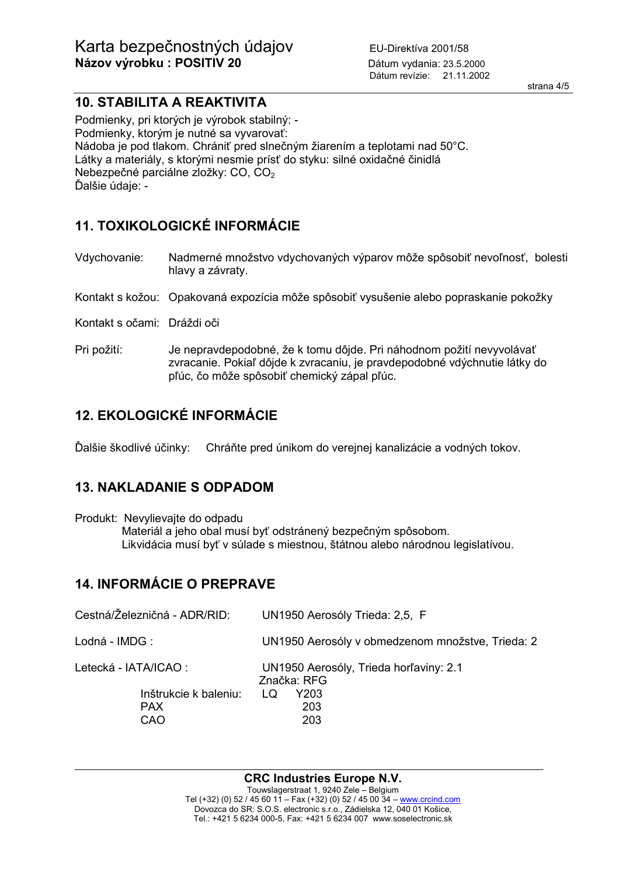strana 4/5

## **10. STABILITA A REAKTIVITA**

Podmienky, pri ktorých je výrobok stabilný: - Podmienky, ktorým je nutné sa vyvarovať: Nádoba je pod tlakom. Chrániť pred slnečným žiarením a teplotami nad 50°C. Látky a materiály, s ktorými nesmie prísť do styku: silné oxidačné činidlá Nebezpečné parciálne zložky: CO, CO2 Ďalšie údaje: -

## **11. TOXIKOLOGICKÉ INFORMÁCIE**

Vdychovanie: Nadmerné množstvo vdychovaných výparov môže spôsobiť nevoľnosť, bolesti hlavy a závraty.

Kontakt s kožou: Opakovaná expozícia môže spôsobiť vysušenie alebo popraskanie pokožky

Kontakt s očami: Dráždi oči

Pri požití: Je nepravdepodobné, že k tomu dôjde. Pri náhodnom požití nevyvolávať zvracanie. Pokiaľ dôjde k zvracaniu, je pravdepodobné vdýchnutie látky do pľúc, čo môže spôsobiť chemický zápal pľúc.

# **12. EKOLOGICKÉ INFORMÁCIE**

Ďalšie škodlivé účinky: Chráňte pred únikom do verejnej kanalizácie a vodných tokov.

## **13. NAKLADANIE S ODPADOM**

Produkt: Nevylievajte do odpadu Materiál a jeho obal musí byť odstránený bezpečným spôsobom. Likvidácia musí byť v súlade s miestnou, štátnou alebo národnou legislatívou.

## **14. INFORMÁCIE O PREPRAVE**

| Cestná/Železničná - ADR/RID:               | UN1950 Aerosóly Trieda: 2,5, F                        |
|--------------------------------------------|-------------------------------------------------------|
| Lodná - IMDG:                              | UN1950 Aerosóly v obmedzenom množstve, Trieda: 2      |
| Letecká - IATA/ICAO :                      | UN1950 Aerosóly, Trieda horľaviny: 2.1<br>Značka: RFG |
| Inštrukcie k baleniu:<br><b>PAX</b><br>CAO | Y203<br>LQ<br>203<br>203                              |